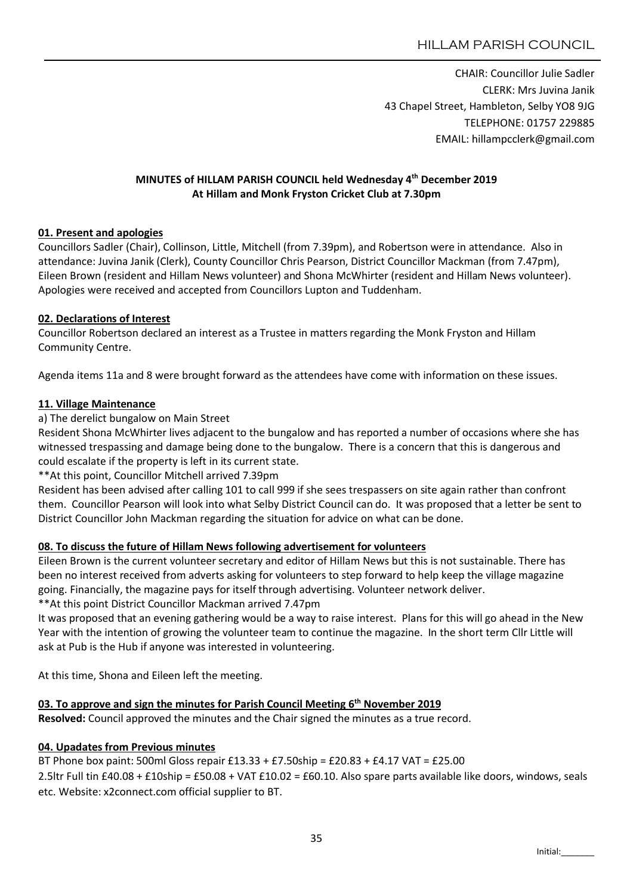CHAIR: Councillor Julie Sadler CLERK: Mrs Juvina Janik 43 Chapel Street, Hambleton, Selby YO8 9JG TELEPHONE: 01757 229885 EMAIL: hillampcclerk@gmail.com

### MINUTES of HILLAM PARISH COUNCIL held Wednesday 4th December 2019 At Hillam and Monk Fryston Cricket Club at 7.30pm

### 01. Present and apologies

Councillors Sadler (Chair), Collinson, Little, Mitchell (from 7.39pm), and Robertson were in attendance. Also in attendance: Juvina Janik (Clerk), County Councillor Chris Pearson, District Councillor Mackman (from 7.47pm), Eileen Brown (resident and Hillam News volunteer) and Shona McWhirter (resident and Hillam News volunteer). Apologies were received and accepted from Councillors Lupton and Tuddenham.

### 02. Declarations of Interest

Councillor Robertson declared an interest as a Trustee in matters regarding the Monk Fryston and Hillam Community Centre.

Agenda items 11a and 8 were brought forward as the attendees have come with information on these issues.

### 11. Village Maintenance

### a) The derelict bungalow on Main Street

Resident Shona McWhirter lives adjacent to the bungalow and has reported a number of occasions where she has witnessed trespassing and damage being done to the bungalow. There is a concern that this is dangerous and could escalate if the property is left in its current state.

\*\*At this point, Councillor Mitchell arrived 7.39pm

Resident has been advised after calling 101 to call 999 if she sees trespassers on site again rather than confront them. Councillor Pearson will look into what Selby District Council can do. It was proposed that a letter be sent to District Councillor John Mackman regarding the situation for advice on what can be done.

### 08. To discuss the future of Hillam News following advertisement for volunteers

Eileen Brown is the current volunteer secretary and editor of Hillam News but this is not sustainable. There has been no interest received from adverts asking for volunteers to step forward to help keep the village magazine going. Financially, the magazine pays for itself through advertising. Volunteer network deliver.

\*\*At this point District Councillor Mackman arrived 7.47pm

It was proposed that an evening gathering would be a way to raise interest. Plans for this will go ahead in the New Year with the intention of growing the volunteer team to continue the magazine. In the short term Cllr Little will ask at Pub is the Hub if anyone was interested in volunteering.

At this time, Shona and Eileen left the meeting.

### 03. To approve and sign the minutes for Parish Council Meeting  $6<sup>th</sup>$  November 2019

Resolved: Council approved the minutes and the Chair signed the minutes as a true record.

### 04. Upadates from Previous minutes

BT Phone box paint: 500ml Gloss repair £13.33 + £7.50ship = £20.83 + £4.17 VAT = £25.00 2.5ltr Full tin £40.08 + £10ship = £50.08 + VAT £10.02 = £60.10. Also spare parts available like doors, windows, seals etc. Website: x2connect.com official supplier to BT.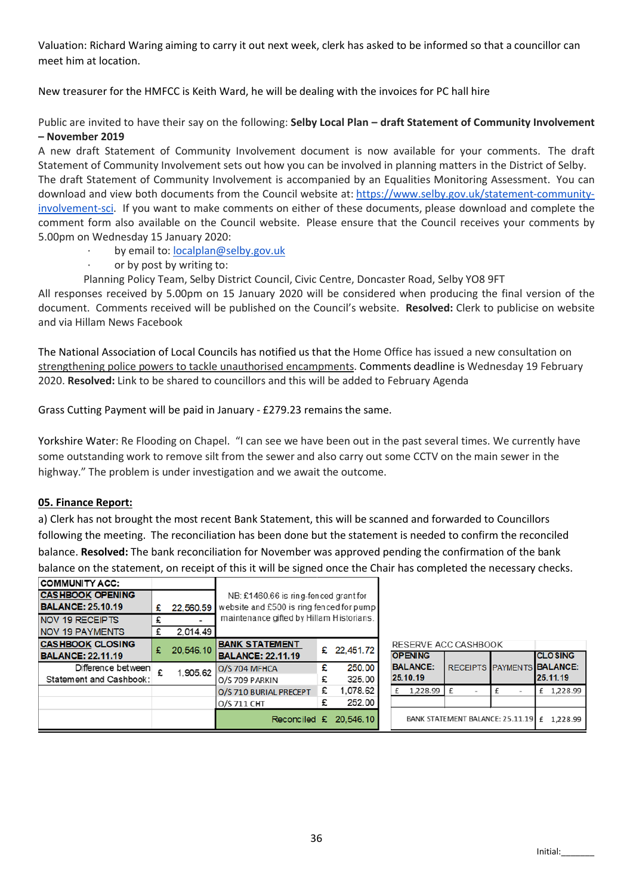Valuation: Richard Waring aiming to carry it out next week, clerk has asked to be informed so that a councillor can meet him at location.

New treasurer for the HMFCC is Keith Ward, he will be dealing with the invoices for PC hall hire

Public are invited to have their say on the following: Selby Local Plan - draft Statement of Community Involvement – November 2019

A new draft Statement of Community Involvement document is now available for your comments. The draft Statement of Community Involvement sets out how you can be involved in planning matters in the District of Selby. The draft Statement of Community Involvement is accompanied by an Equalities Monitoring Assessment. You can download and view both documents from the Council website at: https://www.selby.gov.uk/statement-communityinvolvement-sci. If you want to make comments on either of these documents, please download and complete the comment form also available on the Council website. Please ensure that the Council receives your comments by 5.00pm on Wednesday 15 January 2020:

- by email to: localplan@selby.gov.uk
- · or by post by writing to:

Planning Policy Team, Selby District Council, Civic Centre, Doncaster Road, Selby YO8 9FT

All responses received by 5.00pm on 15 January 2020 will be considered when producing the final version of the document. Comments received will be published on the Council's website. Resolved: Clerk to publicise on website and via Hillam News Facebook

The National Association of Local Councils has notified us that the Home Office has issued a new consultation on strengthening police powers to tackle unauthorised encampments. Comments deadline is Wednesday 19 February 2020. Resolved: Link to be shared to councillors and this will be added to February Agenda

Grass Cutting Payment will be paid in January - £279.23 remains the same.

Yorkshire Water: Re Flooding on Chapel. "I can see we have been out in the past several times. We currently have some outstanding work to remove silt from the sewer and also carry out some CCTV on the main sewer in the highway." The problem is under investigation and we await the outcome.

### 05. Finance Report:

a) Clerk has not brought the most recent Bank Statement, this will be scanned and forwarded to Councillors following the meeting. The reconciliation has been done but the statement is needed to confirm the reconciled balance. Resolved: The bank reconciliation for November was approved pending the confirmation of the bank balance on the statement, on receipt of this it will be signed once the Chair has completed the necessary checks.

| <b>COMMUNITY ACC:</b>    |   |           |                                                                                      |   |             |  |
|--------------------------|---|-----------|--------------------------------------------------------------------------------------|---|-------------|--|
| <b>CASHBOOK OPENING</b>  |   |           | NB: £1460.66 is ring-fenced grant for                                                |   |             |  |
| <b>BALANCE: 25.10.19</b> | £ | 22,560.59 | website and £500 is ring fenced for pump<br>maintenance gifted by Hillam Historians. |   |             |  |
| <b>NOV 19 RECEIPTS</b>   | £ |           |                                                                                      |   |             |  |
| <b>NOV 19 PAYMENTS</b>   | £ | 2.014.49  |                                                                                      |   |             |  |
| <b>CASHBOOK CLOSING</b>  | £ |           | <b>BANK STATEMENT</b>                                                                |   |             |  |
| <b>BALANCE: 22.11.19</b> |   | 20,546.10 | <b>BALANCE: 22.11.19</b>                                                             |   | £ 22,451.72 |  |
| Difference between       | £ | 1,905.62  | <b>O/S 704 MFHCA</b>                                                                 | £ | 250.00      |  |
| Statement and Cashbook:  |   |           | O/S 709 PARKIN                                                                       | £ | 325.00      |  |
|                          |   |           | O/S 710 BURIAL PRECEPT                                                               | £ | 1,078.62    |  |
|                          |   |           | 0/S 711 CHT                                                                          | £ | 252.00      |  |
|                          |   |           | Reconciled £ 20,546.10                                                               |   |             |  |

| RESERVE ACC CASHBOOK                          |                                  |  |                                                          |  |  |
|-----------------------------------------------|----------------------------------|--|----------------------------------------------------------|--|--|
| <b>OPENING</b><br><b>BALANCE:</b><br>25.10.19 |                                  |  | <b>CLOSING</b><br>RECEIPTS PAYMENTS BALANCE:<br>25.11.19 |  |  |
| 1,228.99                                      | f                                |  | £ 1.228.99                                               |  |  |
|                                               |                                  |  |                                                          |  |  |
|                                               | BANK STATEMENT BALANCE: 25.11.19 |  | 1.228.99                                                 |  |  |

 $\overline{\phantom{a}}$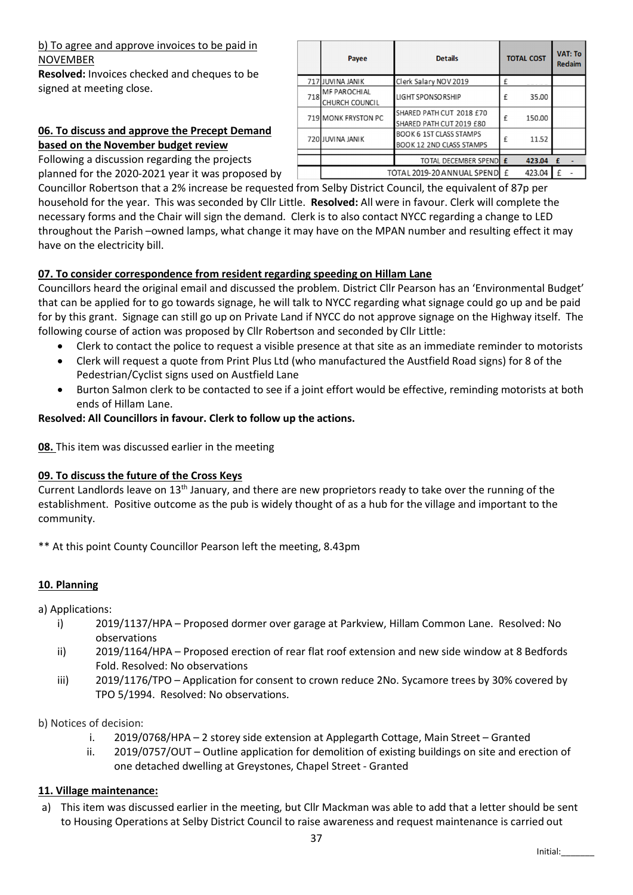### b) To agree and approve invoices to be paid in NOVEMBER

Resolved: Invoices checked and cheques to be signed at meeting close.

# 06. To discuss and approve the Precept Demand based on the November budget review

Following a discussion regarding the projects

planned for the 2020-2021 year it was proposed by

Councillor Robertson that a 2% increase be requested from Selby District Council, the equivalent of 87p per household for the year. This was seconded by Cllr Little. Resolved: All were in favour. Clerk will complete the necessary forms and the Chair will sign the demand. Clerk is to also contact NYCC regarding a change to LED throughout the Parish –owned lamps, what change it may have on the MPAN number and resulting effect it may have on the electricity bill.

# 07. To consider correspondence from resident regarding speeding on Hillam Lane

Councillors heard the original email and discussed the problem. District Cllr Pearson has an 'Environmental Budget' that can be applied for to go towards signage, he will talk to NYCC regarding what signage could go up and be paid for by this grant. Signage can still go up on Private Land if NYCC do not approve signage on the Highway itself. The following course of action was proposed by Cllr Robertson and seconded by Cllr Little:

- Clerk to contact the police to request a visible presence at that site as an immediate reminder to motorists
- Clerk will request a quote from Print Plus Ltd (who manufactured the Austfield Road signs) for 8 of the Pedestrian/Cyclist signs used on Austfield Lane
- Burton Salmon clerk to be contacted to see if a joint effort would be effective, reminding motorists at both ends of Hillam Lane.

### Resolved: All Councillors in favour. Clerk to follow up the actions.

08. This item was discussed earlier in the meeting

### 09. To discuss the future of the Cross Keys

Current Landlords leave on 13th January, and there are new proprietors ready to take over the running of the establishment. Positive outcome as the pub is widely thought of as a hub for the village and important to the community.

\*\* At this point County Councillor Pearson left the meeting, 8.43pm

## 10. Planning

a) Applications:

- i) 2019/1137/HPA Proposed dormer over garage at Parkview, Hillam Common Lane. Resolved: No observations
- ii) 2019/1164/HPA Proposed erection of rear flat roof extension and new side window at 8 Bedfords Fold. Resolved: No observations
- iii) 2019/1176/TPO Application for consent to crown reduce 2No. Sycamore trees by 30% covered by TPO 5/1994. Resolved: No observations.

b) Notices of decision:

- i. 2019/0768/HPA 2 storey side extension at Applegarth Cottage, Main Street Granted
- ii. 2019/0757/OUT Outline application for demolition of existing buildings on site and erection of one detached dwelling at Greystones, Chapel Street - Granted

### 11. Village maintenance:

a) This item was discussed earlier in the meeting, but Cllr Mackman was able to add that a letter should be sent to Housing Operations at Selby District Council to raise awareness and request maintenance is carried out

|     | Payee                                        | <b>Details</b>                                                    |              | <b>TOTAL COST</b> |   | <b>VAT: To</b><br><b>Redaim</b> |
|-----|----------------------------------------------|-------------------------------------------------------------------|--------------|-------------------|---|---------------------------------|
|     | 717 JUVINA JANIK                             | Clerk Salary NOV 2019                                             | £            |                   |   |                                 |
| 718 | <b>MF PAROCHIAL</b><br><b>CHURCH COUNCIL</b> | <b>LIGHT SPONSORSHIP</b>                                          | £            | 35.00             |   |                                 |
|     | 719 MONK FRYSTON PC                          | SHARED PATH CUT 2018 £70<br>SHARED PATH CUT 2019 £80              | f            | 150.00            |   |                                 |
|     | 720 JUVINA JANIK                             | <b>BOOK 6 1ST CLASS STAMPS</b><br><b>BOOK 12 2ND CLASS STAMPS</b> | f            | 11.52             |   |                                 |
|     |                                              | TOTAL DECEMBER SPENDE                                             |              | 423.04            | £ |                                 |
|     |                                              | TOTAL 2019-20 ANNUAL SPEND                                        | $\mathbf{f}$ | 423.04            | £ |                                 |